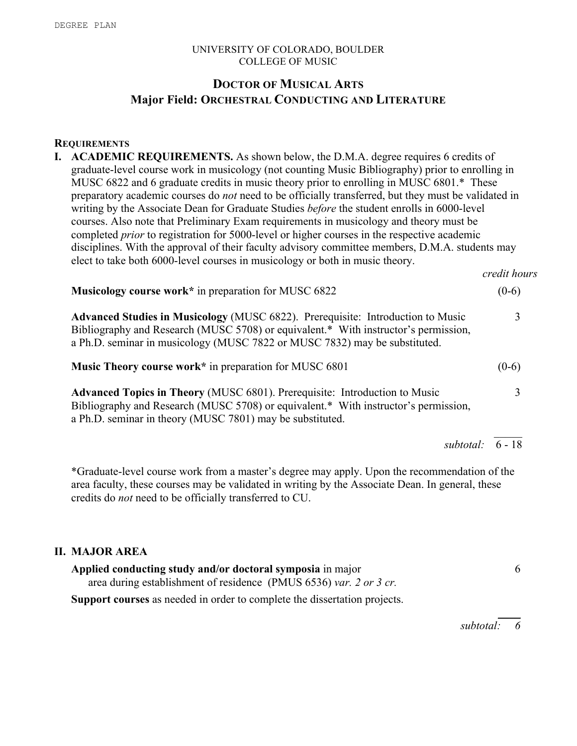#### UNIVERSITY OF COLORADO, BOULDER COLLEGE OF MUSIC

# **DOCTOR OF MUSICAL ARTS Major Field: ORCHESTRAL CONDUCTING AND LITERATURE**

#### **REQUIREMENTS**

**I. ACADEMIC REQUIREMENTS.** As shown below, the D.M.A. degree requires 6 credits of graduate-level course work in musicology (not counting Music Bibliography) prior to enrolling in MUSC 6822 and 6 graduate credits in music theory prior to enrolling in MUSC 6801.\* These preparatory academic courses do *not* need to be officially transferred, but they must be validated in writing by the Associate Dean for Graduate Studies *before* the student enrolls in 6000-level courses. Also note that Preliminary Exam requirements in musicology and theory must be completed *prior* to registration for 5000-level or higher courses in the respective academic disciplines. With the approval of their faculty advisory committee members, D.M.A. students may elect to take both 6000-level courses in musicology or both in music theory.

| <b>Musicology course work</b> * in preparation for MUSC 6822                                                                                                                                                                                                | $(0-6)$ |  |
|-------------------------------------------------------------------------------------------------------------------------------------------------------------------------------------------------------------------------------------------------------------|---------|--|
| <b>Advanced Studies in Musicology (MUSC 6822). Prerequisite: Introduction to Music</b><br>Bibliography and Research (MUSC 5708) or equivalent.* With instructor's permission,<br>a Ph.D. seminar in musicology (MUSC 7822 or MUSC 7832) may be substituted. | 3       |  |
| <b>Music Theory course work*</b> in preparation for MUSC 6801                                                                                                                                                                                               | $(0-6)$ |  |
| <b>Advanced Topics in Theory (MUSC 6801). Prerequisite: Introduction to Music</b><br>Bibliography and Research (MUSC 5708) or equivalent.* With instructor's permission,<br>a Ph.D. seminar in theory (MUSC 7801) may be substituted.                       |         |  |

*subtotal:* 6 - 18

 $\mathcal{L}_\mathcal{L}$ 

*credit hours*

\*Graduate-level course work from a master's degree may apply. Upon the recommendation of the area faculty, these courses may be validated in writing by the Associate Dean. In general, these credits do *not* need to be officially transferred to CU.

# **II. MAJOR AREA**

| Applied conducting study and/or doctoral symposia in major         |  |
|--------------------------------------------------------------------|--|
| area during establishment of residence (PMUS 6536) var. 2 or 3 cr. |  |

**Support courses** as needed in order to complete the dissertation projects.

*subtotal: 6*

 $\overline{\phantom{a}}$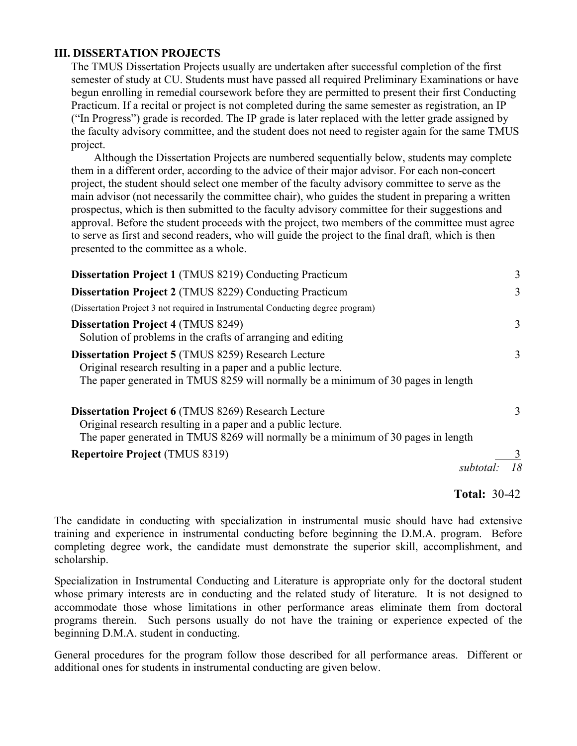## **III. DISSERTATION PROJECTS**

The TMUS Dissertation Projects usually are undertaken after successful completion of the first semester of study at CU. Students must have passed all required Preliminary Examinations or have begun enrolling in remedial coursework before they are permitted to present their first Conducting Practicum. If a recital or project is not completed during the same semester as registration, an IP ("In Progress") grade is recorded. The IP grade is later replaced with the letter grade assigned by the faculty advisory committee, and the student does not need to register again for the same TMUS project.

 Although the Dissertation Projects are numbered sequentially below, students may complete them in a different order, according to the advice of their major advisor. For each non-concert project, the student should select one member of the faculty advisory committee to serve as the main advisor (not necessarily the committee chair), who guides the student in preparing a written prospectus, which is then submitted to the faculty advisory committee for their suggestions and approval. Before the student proceeds with the project, two members of the committee must agree to serve as first and second readers, who will guide the project to the final draft, which is then presented to the committee as a whole.

| <b>Dissertation Project 1 (TMUS 8219) Conducting Practicum</b>                                                                                                                                                  | 3 |
|-----------------------------------------------------------------------------------------------------------------------------------------------------------------------------------------------------------------|---|
| <b>Dissertation Project 2 (TMUS 8229) Conducting Practicum</b>                                                                                                                                                  | 3 |
| (Dissertation Project 3 not required in Instrumental Conducting degree program)                                                                                                                                 |   |
| <b>Dissertation Project 4 (TMUS 8249)</b><br>Solution of problems in the crafts of arranging and editing                                                                                                        | 3 |
| <b>Dissertation Project 5 (TMUS 8259) Research Lecture</b><br>Original research resulting in a paper and a public lecture.<br>The paper generated in TMUS 8259 will normally be a minimum of 30 pages in length | 3 |
| <b>Dissertation Project 6 (TMUS 8269) Research Lecture</b><br>Original research resulting in a paper and a public lecture.<br>The paper generated in TMUS 8269 will normally be a minimum of 30 pages in length | 3 |
| <b>Repertoire Project (TMUS 8319)</b>                                                                                                                                                                           |   |
| subtotal:                                                                                                                                                                                                       |   |

### **Total:** 30-42

The candidate in conducting with specialization in instrumental music should have had extensive training and experience in instrumental conducting before beginning the D.M.A. program. Before completing degree work, the candidate must demonstrate the superior skill, accomplishment, and scholarship.

Specialization in Instrumental Conducting and Literature is appropriate only for the doctoral student whose primary interests are in conducting and the related study of literature. It is not designed to accommodate those whose limitations in other performance areas eliminate them from doctoral programs therein. Such persons usually do not have the training or experience expected of the beginning D.M.A. student in conducting.

General procedures for the program follow those described for all performance areas. Different or additional ones for students in instrumental conducting are given below.